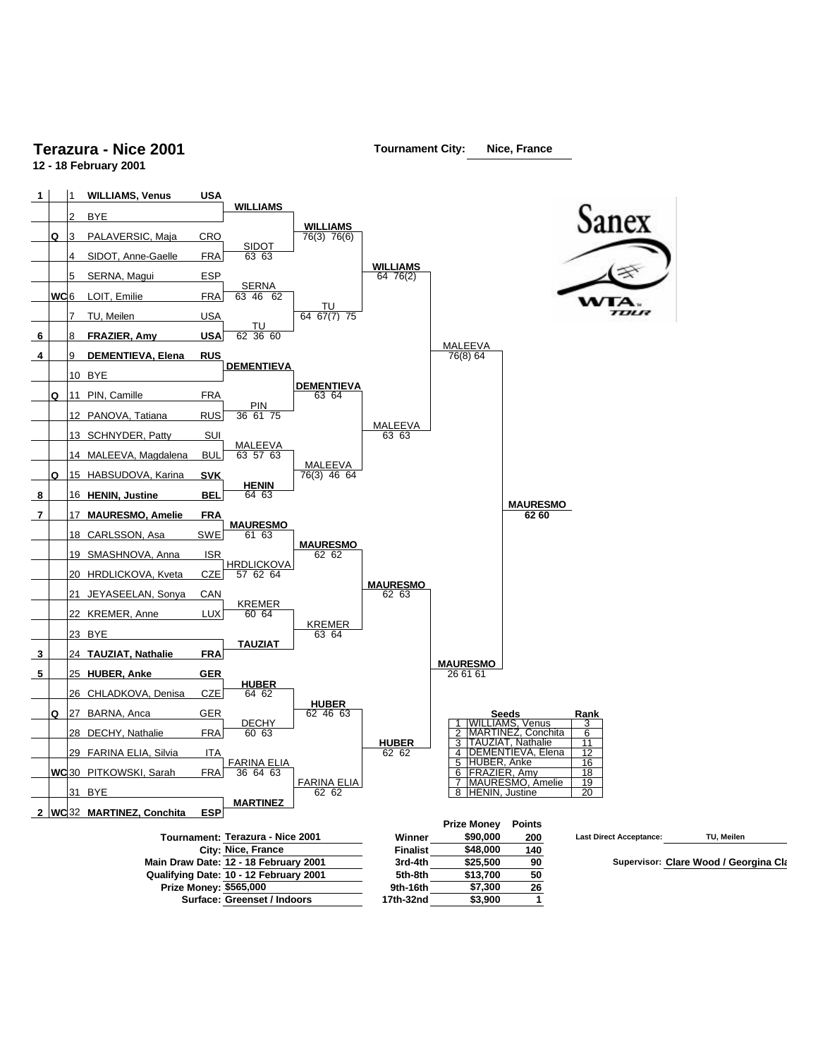## **Terazura - Nice 2001**

**12 - 18 February 2001**



**Tournament City: Nice, France**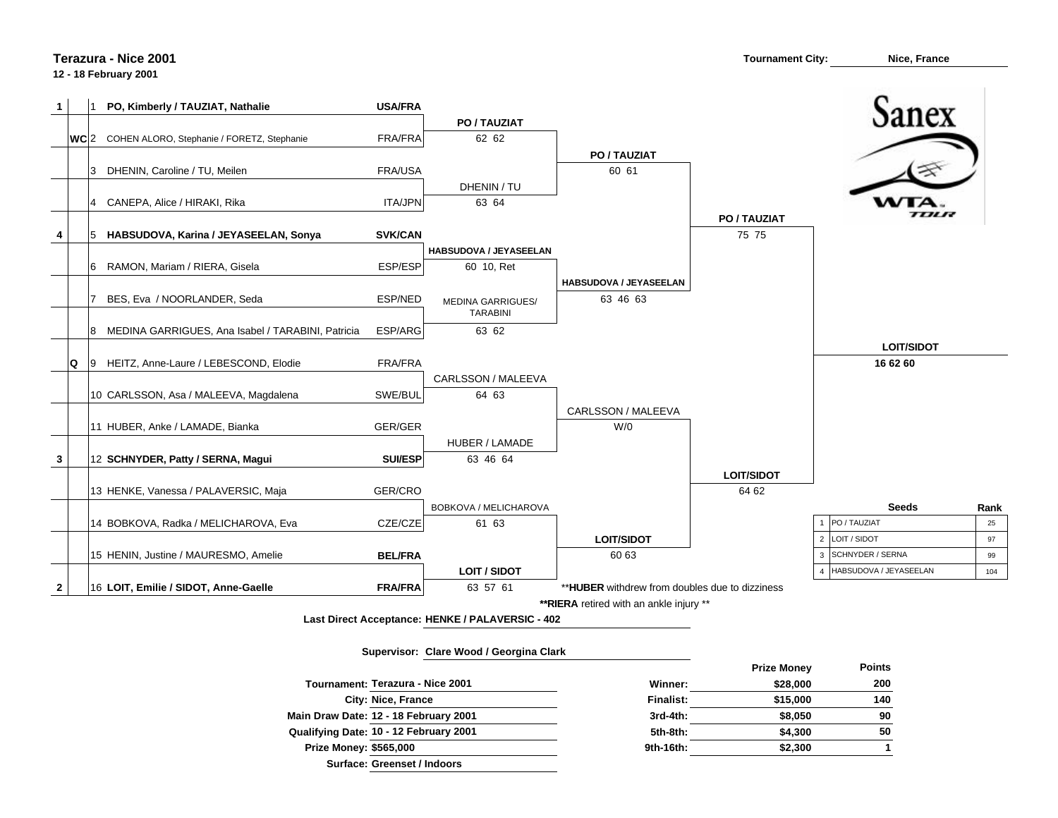## **Terazura - Nice 2001**

## **12 - 18 February 2001**



**Last Direct Acceptance: HENKE / PALAVERSIC - 402**

## **Supervisor: Clare Wood / Georgina Clark**

|                                        |                  | <b>THEY MONGY</b> |
|----------------------------------------|------------------|-------------------|
| Tournament: Terazura - Nice 2001       | Winner:          | \$28,000          |
| City: Nice, France                     | <b>Finalist:</b> | \$15,000          |
| Main Draw Date: 12 - 18 February 2001  | $3rd-4th$ :      | \$8,050           |
| Qualifying Date: 10 - 12 February 2001 | 5th-8th:         | \$4,300           |
| <b>Prize Money: \$565,000</b>          | 9th-16th:        | \$2,300           |
| Surface: Greenset / Indoors            |                  |                   |

|          | <b>Prize Money</b> | <b>Points</b> |
|----------|--------------------|---------------|
| Winner:  | \$28,000           | 200           |
| inalist: | \$15,000           | 140           |
| 3rd-4th: | \$8,050            | 90            |
| 5th-8th: | \$4,300            | 50            |
| th-16th: | \$2,300            |               |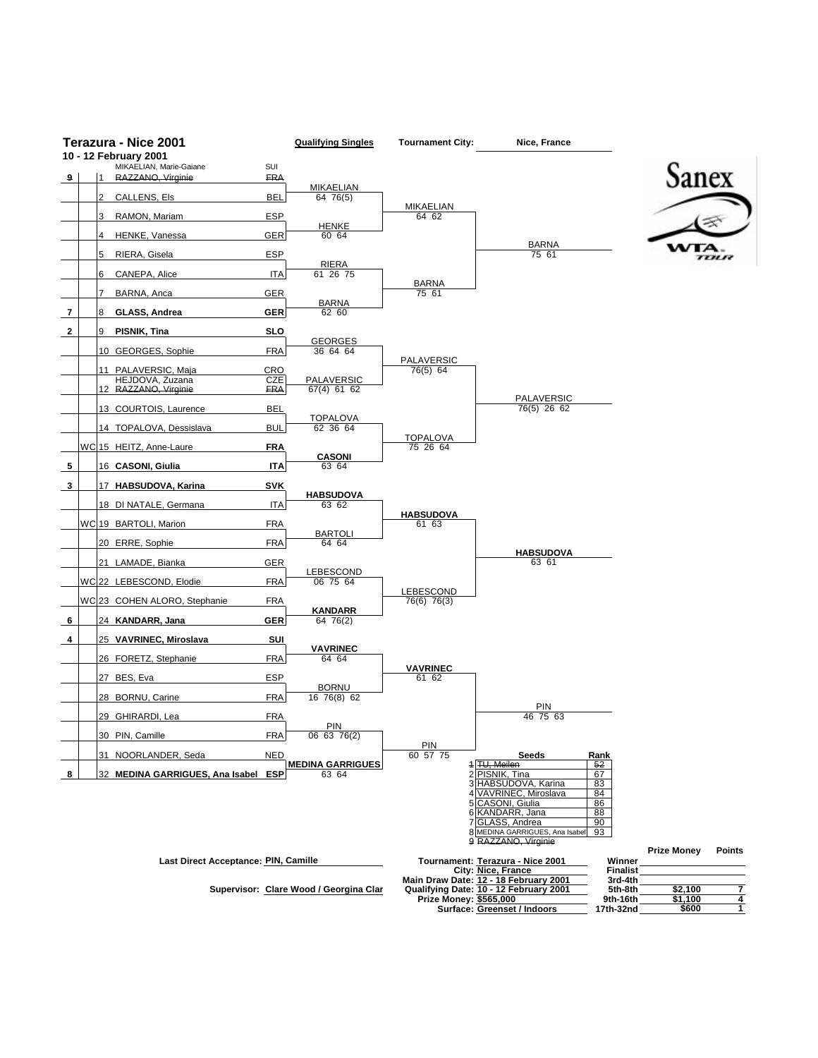